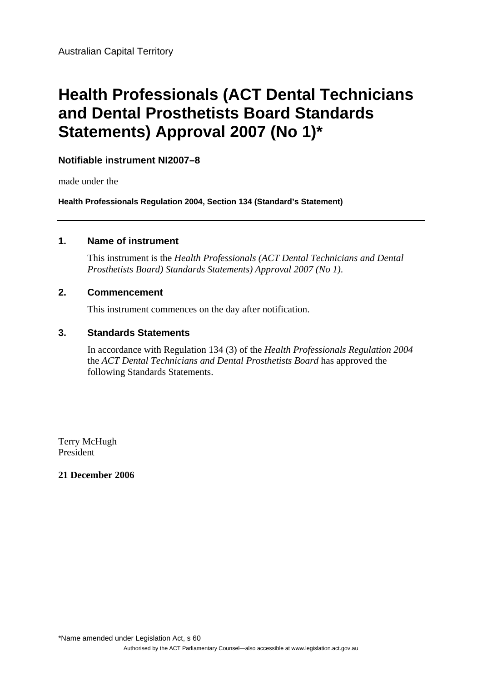# **Health Professionals (ACT Dental Technicians and Dental Prosthetists Board Standards Statements) Approval 2007 (No 1)\***

# **Notifiable instrument NI2007–8**

made under the

**Health Professionals Regulation 2004, Section 134 (Standard's Statement)** 

#### **1. Name of instrument**

This instrument is the *Health Professionals (ACT Dental Technicians and Dental Prosthetists Board) Standards Statements) Approval 2007 (No 1)*.

## **2. Commencement**

This instrument commences on the day after notification.

### **3. Standards Statements**

In accordance with Regulation 134 (3) of the *Health Professionals Regulation 2004* the *ACT Dental Technicians and Dental Prosthetists Board* has approved the following Standards Statements.

Terry McHugh President

## **21 December 2006**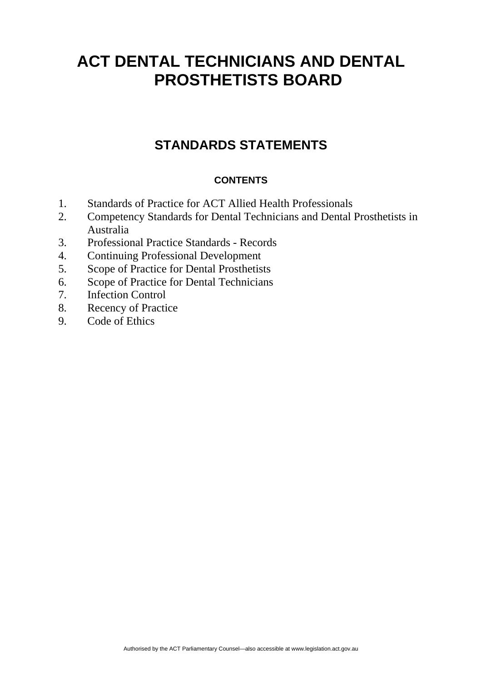# **STANDARDS STATEMENTS**

# **CONTENTS**

- 1. Standards of Practice for ACT Allied Health Professionals
- 2. Competency Standards for Dental Technicians and Dental Prosthetists in Australia
- 3. Professional Practice Standards Records
- 4. Continuing Professional Development
- 5. Scope of Practice for Dental Prosthetists
- 6. Scope of Practice for Dental Technicians
- 7. Infection Control
- 8. Recency of Practice
- 9. Code of Ethics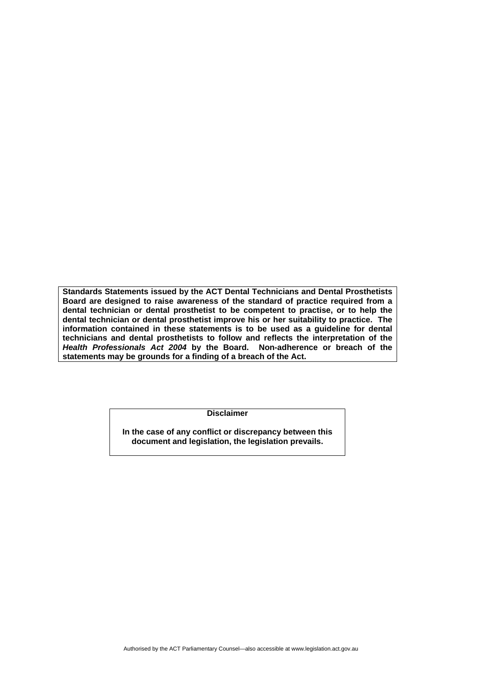**Standards Statements issued by the ACT Dental Technicians and Dental Prosthetists Board are designed to raise awareness of the standard of practice required from a dental technician or dental prosthetist to be competent to practise, or to help the dental technician or dental prosthetist improve his or her suitability to practice. The information contained in these statements is to be used as a guideline for dental technicians and dental prosthetists to follow and reflects the interpretation of the**  *Health Professionals Act 2004* **by the Board. Non-adherence or breach of the statements may be grounds for a finding of a breach of the Act.** 

**Disclaimer** 

**In the case of any conflict or discrepancy between this document and legislation, the legislation prevails.**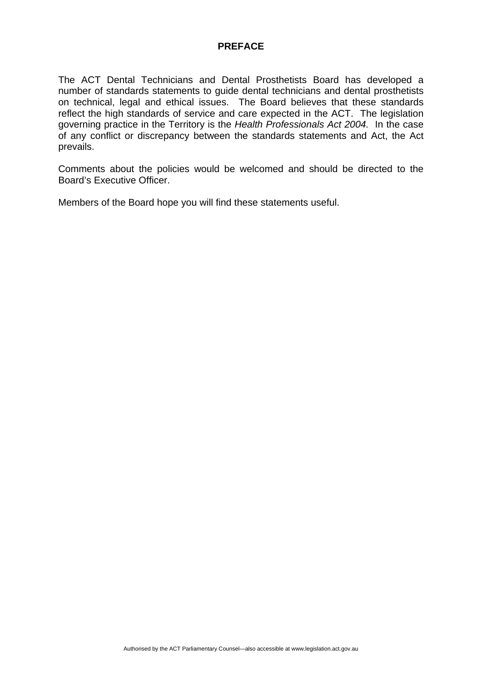#### **PREFACE**

The ACT Dental Technicians and Dental Prosthetists Board has developed a number of standards statements to guide dental technicians and dental prosthetists on technical, legal and ethical issues. The Board believes that these standards reflect the high standards of service and care expected in the ACT. The legislation governing practice in the Territory is the *Health Professionals Act 2004.* In the case of any conflict or discrepancy between the standards statements and Act, the Act prevails.

Comments about the policies would be welcomed and should be directed to the Board's Executive Officer.

Members of the Board hope you will find these statements useful.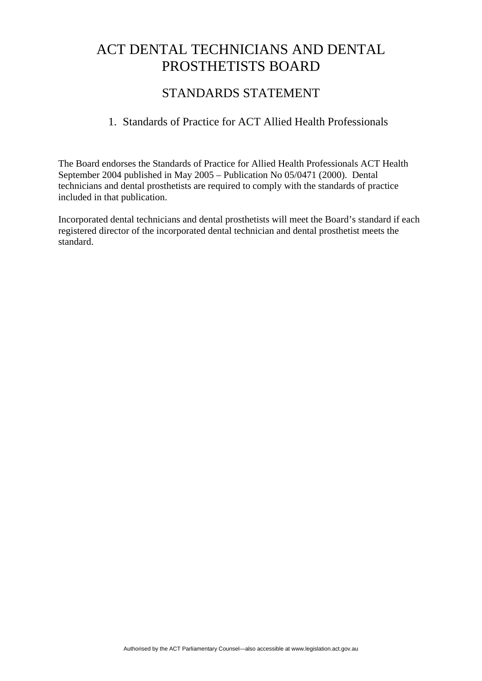# STANDARDS STATEMENT

# 1. Standards of Practice for ACT Allied Health Professionals

The Board endorses the Standards of Practice for Allied Health Professionals ACT Health September 2004 published in May 2005 – Publication No 05/0471 (2000). Dental technicians and dental prosthetists are required to comply with the standards of practice included in that publication.

Incorporated dental technicians and dental prosthetists will meet the Board's standard if each registered director of the incorporated dental technician and dental prosthetist meets the standard.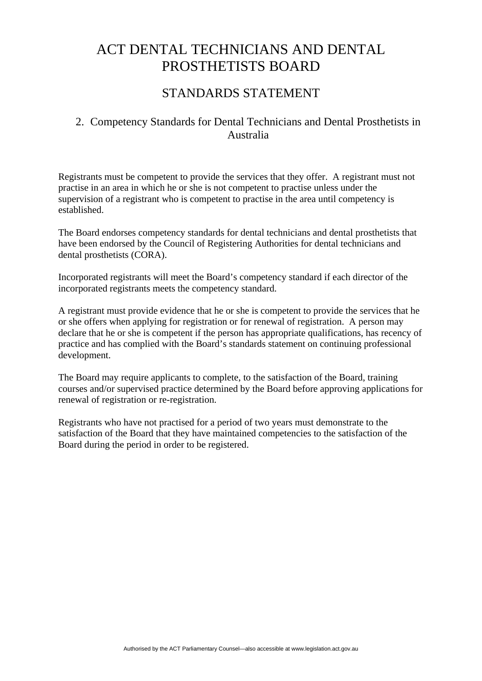# STANDARDS STATEMENT

# 2. Competency Standards for Dental Technicians and Dental Prosthetists in Australia

Registrants must be competent to provide the services that they offer. A registrant must not practise in an area in which he or she is not competent to practise unless under the supervision of a registrant who is competent to practise in the area until competency is established.

The Board endorses competency standards for dental technicians and dental prosthetists that have been endorsed by the Council of Registering Authorities for dental technicians and dental prosthetists (CORA).

Incorporated registrants will meet the Board's competency standard if each director of the incorporated registrants meets the competency standard.

A registrant must provide evidence that he or she is competent to provide the services that he or she offers when applying for registration or for renewal of registration. A person may declare that he or she is competent if the person has appropriate qualifications, has recency of practice and has complied with the Board's standards statement on continuing professional development.

The Board may require applicants to complete, to the satisfaction of the Board, training courses and/or supervised practice determined by the Board before approving applications for renewal of registration or re-registration.

Registrants who have not practised for a period of two years must demonstrate to the satisfaction of the Board that they have maintained competencies to the satisfaction of the Board during the period in order to be registered.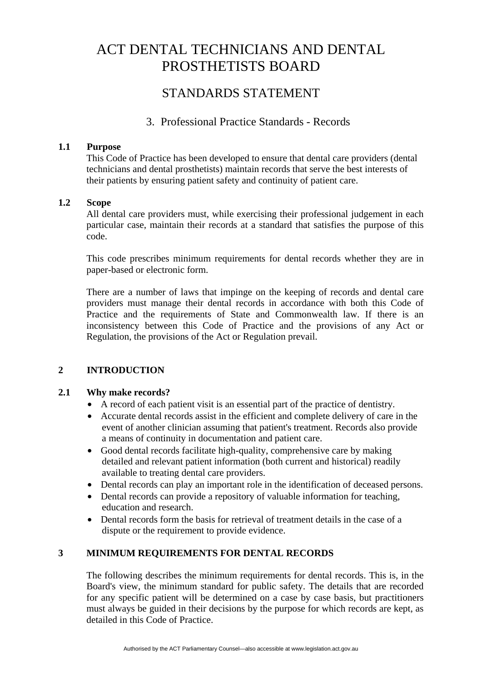# STANDARDS STATEMENT

# 3. Professional Practice Standards - Records

## **1.1 Purpose**

This Code of Practice has been developed to ensure that dental care providers (dental technicians and dental prosthetists) maintain records that serve the best interests of their patients by ensuring patient safety and continuity of patient care.

## **1.2 Scope**

All dental care providers must, while exercising their professional judgement in each particular case, maintain their records at a standard that satisfies the purpose of this code.

This code prescribes minimum requirements for dental records whether they are in paper-based or electronic form.

There are a number of laws that impinge on the keeping of records and dental care providers must manage their dental records in accordance with both this Code of Practice and the requirements of State and Commonwealth law. If there is an inconsistency between this Code of Practice and the provisions of any Act or Regulation, the provisions of the Act or Regulation prevail.

## **2 INTRODUCTION**

#### **2.1 Why make records?**

- A record of each patient visit is an essential part of the practice of dentistry.
- Accurate dental records assist in the efficient and complete delivery of care in the event of another clinician assuming that patient's treatment. Records also provide a means of continuity in documentation and patient care.
- Good dental records facilitate high-quality, comprehensive care by making detailed and relevant patient information (both current and historical) readily available to treating dental care providers.
- Dental records can play an important role in the identification of deceased persons.
- Dental records can provide a repository of valuable information for teaching, education and research.
- Dental records form the basis for retrieval of treatment details in the case of a dispute or the requirement to provide evidence.

## **3 MINIMUM REQUIREMENTS FOR DENTAL RECORDS**

The following describes the minimum requirements for dental records. This is, in the Board's view, the minimum standard for public safety. The details that are recorded for any specific patient will be determined on a case by case basis, but practitioners must always be guided in their decisions by the purpose for which records are kept, as detailed in this Code of Practice.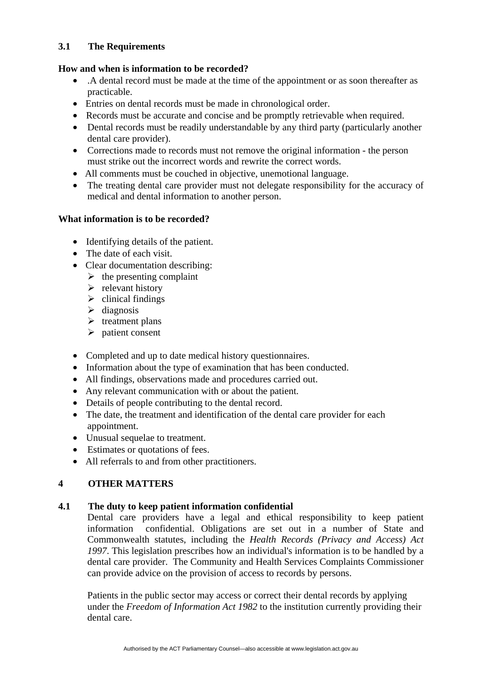## **3.1 The Requirements**

## **How and when is information to be recorded?**

- .A dental record must be made at the time of the appointment or as soon thereafter as practicable.
- Entries on dental records must be made in chronological order.
- Records must be accurate and concise and be promptly retrievable when required.
- Dental records must be readily understandable by any third party (particularly another dental care provider).
- Corrections made to records must not remove the original information the person must strike out the incorrect words and rewrite the correct words.
- All comments must be couched in objective, unemotional language.
- The treating dental care provider must not delegate responsibility for the accuracy of medical and dental information to another person.

## **What information is to be recorded?**

- Identifying details of the patient.
- The date of each visit.
- Clear documentation describing:
	- $\triangleright$  the presenting complaint
	- $\triangleright$  relevant history
	- $\triangleright$  clinical findings
	- $\triangleright$  diagnosis
	- $\triangleright$  treatment plans
	- $\triangleright$  patient consent
- Completed and up to date medical history questionnaires.
- Information about the type of examination that has been conducted.
- All findings, observations made and procedures carried out.
- Any relevant communication with or about the patient.
- Details of people contributing to the dental record.
- The date, the treatment and identification of the dental care provider for each appointment.
- Unusual sequelae to treatment.
- Estimates or quotations of fees.
- All referrals to and from other practitioners.

# **4 OTHER MATTERS**

## **4.1 The duty to keep patient information confidential**

Dental care providers have a legal and ethical responsibility to keep patient information confidential. Obligations are set out in a number of State and Commonwealth statutes, including the *Health Records (Privacy and Access) Act 1997*. This legislation prescribes how an individual's information is to be handled by a dental care provider. The Community and Health Services Complaints Commissioner can provide advice on the provision of access to records by persons.

Patients in the public sector may access or correct their dental records by applying under the *Freedom of Information Act 1982* to the institution currently providing their dental care.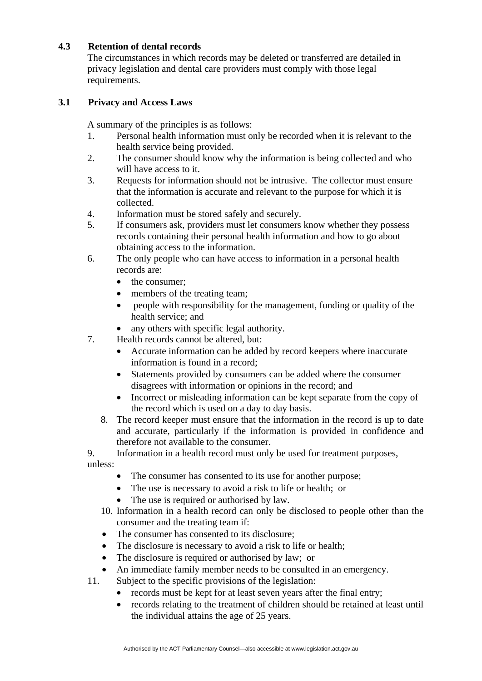## **4.3 Retention of dental records**

The circumstances in which records may be deleted or transferred are detailed in privacy legislation and dental care providers must comply with those legal requirements.

## **3.1 Privacy and Access Laws**

A summary of the principles is as follows:

- 1. Personal health information must only be recorded when it is relevant to the health service being provided.
- 2. The consumer should know why the information is being collected and who will have access to it.
- 3. Requests for information should not be intrusive. The collector must ensure that the information is accurate and relevant to the purpose for which it is collected.
- 4. Information must be stored safely and securely.
- 5. If consumers ask, providers must let consumers know whether they possess records containing their personal health information and how to go about obtaining access to the information.
- 6. The only people who can have access to information in a personal health records are:
	- the consumer:
	- members of the treating team;
	- people with responsibility for the management, funding or quality of the health service; and
	- any others with specific legal authority.
- 7. Health records cannot be altered, but:
	- Accurate information can be added by record keepers where inaccurate information is found in a record;
	- Statements provided by consumers can be added where the consumer disagrees with information or opinions in the record; and
	- Incorrect or misleading information can be kept separate from the copy of the record which is used on a day to day basis.
	- 8. The record keeper must ensure that the information in the record is up to date and accurate, particularly if the information is provided in confidence and therefore not available to the consumer.

9. Information in a health record must only be used for treatment purposes,

unless:

- The consumer has consented to its use for another purpose;
- The use is necessary to avoid a risk to life or health; or
- The use is required or authorised by law.
- 10. Information in a health record can only be disclosed to people other than the consumer and the treating team if:
- The consumer has consented to its disclosure;
- The disclosure is necessary to avoid a risk to life or health;
- The disclosure is required or authorised by law; or
- An immediate family member needs to be consulted in an emergency.
- 11. Subject to the specific provisions of the legislation:
	- records must be kept for at least seven years after the final entry;
	- records relating to the treatment of children should be retained at least until the individual attains the age of 25 years.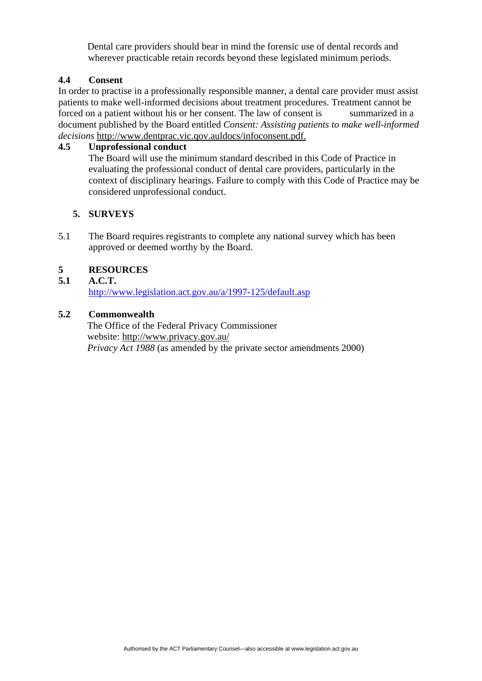Dental care providers should bear in mind the forensic use of dental records and wherever practicable retain records beyond these legislated minimum periods.

#### **4.4 Consent**

In order to practise in a professionally responsible manner, a dental care provider must assist patients to make well-informed decisions about treatment procedures. Treatment cannot be forced on a patient without his or her consent. The law of consent is summarized in a document published by the Board entitled *Consent: Assisting patients to make well-informed decisions* http://www.dentprac.vic.qov.auldocs/infoconsent.pdf.

### **4.5 Unprofessional conduct**

The Board will use the minimum standard described in this Code of Practice in evaluating the professional conduct of dental care providers, particularly in the context of disciplinary hearings. Failure to comply with this Code of Practice may be considered unprofessional conduct.

## **5. SURVEYS**

5.1 The Board requires registrants to complete any national survey which has been approved or deemed worthy by the Board.

## **5 RESOURCES**

#### **5.1 A.C.T.**

http://www.legislation.act.gov.au/a/1997-125/default.asp

#### **5.2 Commonwealth**

The Office of the Federal Privacy Commissioner website: http://www.privacy.gov.au/ *Privacy Act 1988* (as amended by the private sector amendments 2000)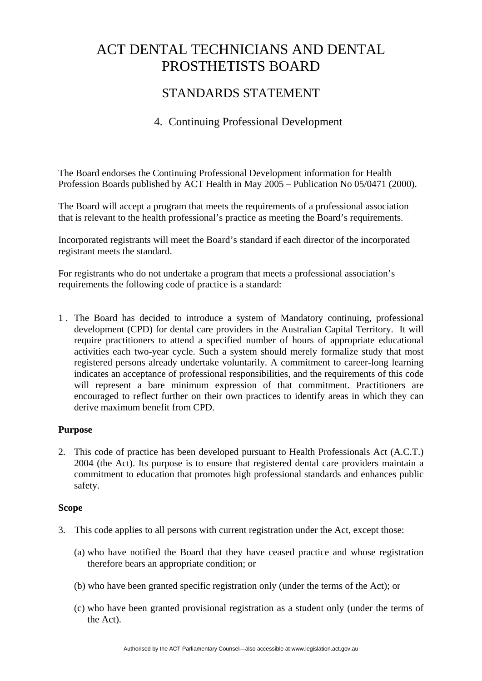# STANDARDS STATEMENT

# 4. Continuing Professional Development

The Board endorses the Continuing Professional Development information for Health Profession Boards published by ACT Health in May 2005 – Publication No 05/0471 (2000).

The Board will accept a program that meets the requirements of a professional association that is relevant to the health professional's practice as meeting the Board's requirements.

Incorporated registrants will meet the Board's standard if each director of the incorporated registrant meets the standard.

For registrants who do not undertake a program that meets a professional association's requirements the following code of practice is a standard:

1 . The Board has decided to introduce a system of Mandatory continuing, professional development (CPD) for dental care providers in the Australian Capital Territory. It will require practitioners to attend a specified number of hours of appropriate educational activities each two-year cycle. Such a system should merely formalize study that most registered persons already undertake voluntarily. A commitment to career-long learning indicates an acceptance of professional responsibilities, and the requirements of this code will represent a bare minimum expression of that commitment. Practitioners are encouraged to reflect further on their own practices to identify areas in which they can derive maximum benefit from CPD.

#### **Purpose**

2. This code of practice has been developed pursuant to Health Professionals Act (A.C.T.) 2004 (the Act). Its purpose is to ensure that registered dental care providers maintain a commitment to education that promotes high professional standards and enhances public safety.

#### **Scope**

- 3. This code applies to all persons with current registration under the Act, except those:
	- (a) who have notified the Board that they have ceased practice and whose registration therefore bears an appropriate condition; or
	- (b) who have been granted specific registration only (under the terms of the Act); or
	- (c) who have been granted provisional registration as a student only (under the terms of the Act).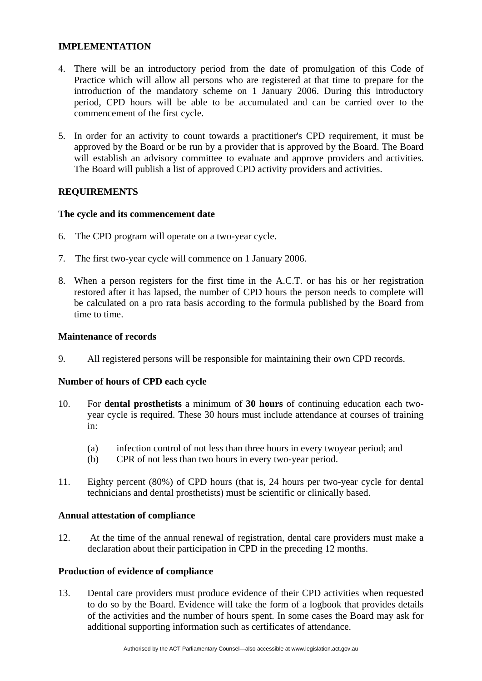#### **IMPLEMENTATION**

- 4. There will be an introductory period from the date of promulgation of this Code of Practice which will allow all persons who are registered at that time to prepare for the introduction of the mandatory scheme on 1 January 2006. During this introductory period, CPD hours will be able to be accumulated and can be carried over to the commencement of the first cycle.
- 5. In order for an activity to count towards a practitioner's CPD requirement, it must be approved by the Board or be run by a provider that is approved by the Board. The Board will establish an advisory committee to evaluate and approve providers and activities. The Board will publish a list of approved CPD activity providers and activities.

## **REQUIREMENTS**

#### **The cycle and its commencement date**

- 6. The CPD program will operate on a two-year cycle.
- 7. The first two-year cycle will commence on 1 January 2006.
- 8. When a person registers for the first time in the A.C.T. or has his or her registration restored after it has lapsed, the number of CPD hours the person needs to complete will be calculated on a pro rata basis according to the formula published by the Board from time to time.

#### **Maintenance of records**

9. All registered persons will be responsible for maintaining their own CPD records.

#### **Number of hours of CPD each cycle**

- 10. For **dental prosthetists** a minimum of **30 hours** of continuing education each twoyear cycle is required. These 30 hours must include attendance at courses of training in:
	- (a) infection control of not less than three hours in every twoyear period; and
	- (b) CPR of not less than two hours in every two-year period.
- 11. Eighty percent (80%) of CPD hours (that is, 24 hours per two-year cycle for dental technicians and dental prosthetists) must be scientific or clinically based.

#### **Annual attestation of compliance**

12. At the time of the annual renewal of registration, dental care providers must make a declaration about their participation in CPD in the preceding 12 months.

#### **Production of evidence of compliance**

13. Dental care providers must produce evidence of their CPD activities when requested to do so by the Board. Evidence will take the form of a logbook that provides details of the activities and the number of hours spent. In some cases the Board may ask for additional supporting information such as certificates of attendance.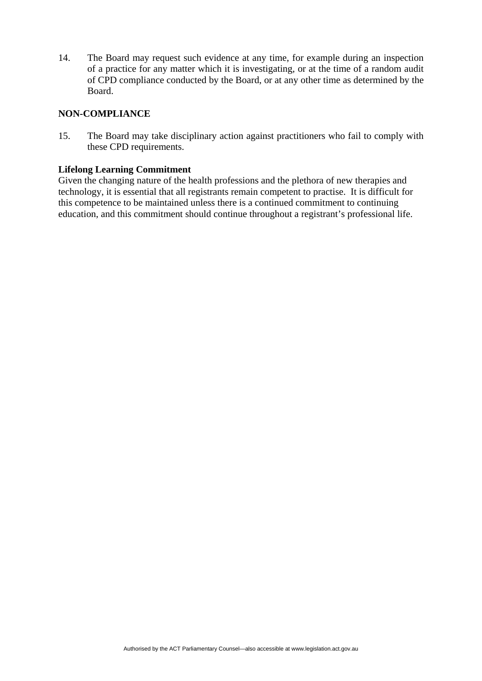14. The Board may request such evidence at any time, for example during an inspection of a practice for any matter which it is investigating, or at the time of a random audit of CPD compliance conducted by the Board, or at any other time as determined by the Board.

#### **NON-COMPLIANCE**

15. The Board may take disciplinary action against practitioners who fail to comply with these CPD requirements.

#### **Lifelong Learning Commitment**

Given the changing nature of the health professions and the plethora of new therapies and technology, it is essential that all registrants remain competent to practise. It is difficult for this competence to be maintained unless there is a continued commitment to continuing education, and this commitment should continue throughout a registrant's professional life.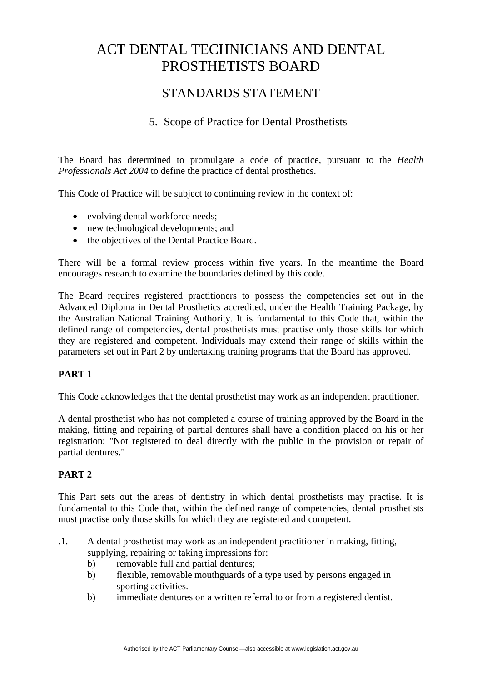# STANDARDS STATEMENT

# 5. Scope of Practice for Dental Prosthetists

The Board has determined to promulgate a code of practice, pursuant to the *Health Professionals Act 2004* to define the practice of dental prosthetics.

This Code of Practice will be subject to continuing review in the context of:

- evolving dental workforce needs;
- new technological developments; and
- the objectives of the Dental Practice Board.

There will be a formal review process within five years. In the meantime the Board encourages research to examine the boundaries defined by this code.

The Board requires registered practitioners to possess the competencies set out in the Advanced Diploma in Dental Prosthetics accredited, under the Health Training Package, by the Australian National Training Authority. It is fundamental to this Code that, within the defined range of competencies, dental prosthetists must practise only those skills for which they are registered and competent. Individuals may extend their range of skills within the parameters set out in Part 2 by undertaking training programs that the Board has approved.

## **PART 1**

This Code acknowledges that the dental prosthetist may work as an independent practitioner.

A dental prosthetist who has not completed a course of training approved by the Board in the making, fitting and repairing of partial dentures shall have a condition placed on his or her registration: "Not registered to deal directly with the public in the provision or repair of partial dentures."

## **PART 2**

This Part sets out the areas of dentistry in which dental prosthetists may practise. It is fundamental to this Code that, within the defined range of competencies, dental prosthetists must practise only those skills for which they are registered and competent.

- .1. A dental prosthetist may work as an independent practitioner in making, fitting, supplying, repairing or taking impressions for:
	- b) removable full and partial dentures;
	- b) flexible, removable mouthguards of a type used by persons engaged in sporting activities.
	- b) immediate dentures on a written referral to or from a registered dentist.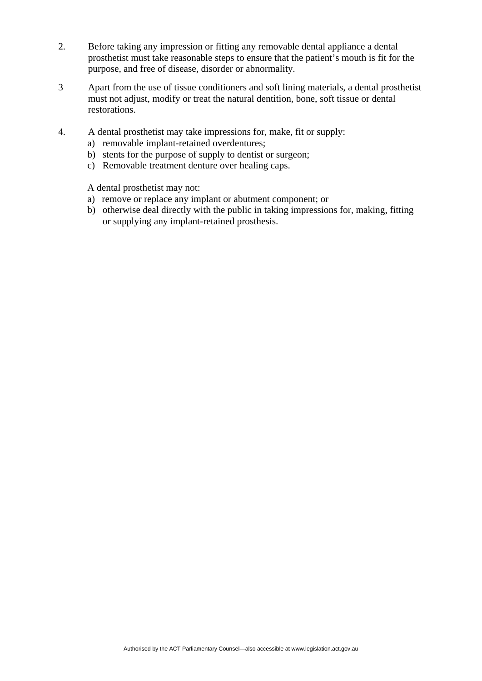- 2. Before taking any impression or fitting any removable dental appliance a dental prosthetist must take reasonable steps to ensure that the patient's mouth is fit for the purpose, and free of disease, disorder or abnormality.
- 3 Apart from the use of tissue conditioners and soft lining materials, a dental prosthetist must not adjust, modify or treat the natural dentition, bone, soft tissue or dental restorations.
- 4. A dental prosthetist may take impressions for, make, fit or supply:
	- a) removable implant-retained overdentures;
	- b) stents for the purpose of supply to dentist or surgeon;
	- c) Removable treatment denture over healing caps.

A dental prosthetist may not:

- a) remove or replace any implant or abutment component; or
- b) otherwise deal directly with the public in taking impressions for, making, fitting or supplying any implant-retained prosthesis.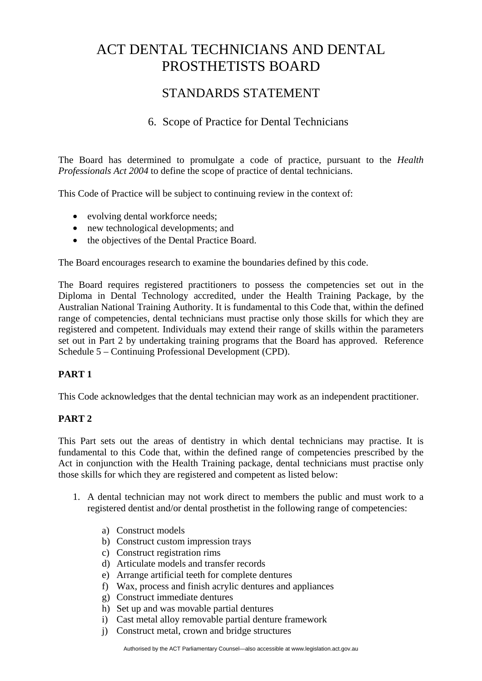# STANDARDS STATEMENT

# 6. Scope of Practice for Dental Technicians

The Board has determined to promulgate a code of practice, pursuant to the *Health Professionals Act 2004* to define the scope of practice of dental technicians.

This Code of Practice will be subject to continuing review in the context of:

- evolving dental workforce needs;
- new technological developments; and
- the objectives of the Dental Practice Board.

The Board encourages research to examine the boundaries defined by this code.

The Board requires registered practitioners to possess the competencies set out in the Diploma in Dental Technology accredited, under the Health Training Package, by the Australian National Training Authority. It is fundamental to this Code that, within the defined range of competencies, dental technicians must practise only those skills for which they are registered and competent. Individuals may extend their range of skills within the parameters set out in Part 2 by undertaking training programs that the Board has approved. Reference Schedule 5 – Continuing Professional Development (CPD).

## **PART 1**

This Code acknowledges that the dental technician may work as an independent practitioner.

## **PART 2**

This Part sets out the areas of dentistry in which dental technicians may practise. It is fundamental to this Code that, within the defined range of competencies prescribed by the Act in conjunction with the Health Training package, dental technicians must practise only those skills for which they are registered and competent as listed below:

- 1. A dental technician may not work direct to members the public and must work to a registered dentist and/or dental prosthetist in the following range of competencies:
	- a) Construct models
	- b) Construct custom impression trays
	- c) Construct registration rims
	- d) Articulate models and transfer records
	- e) Arrange artificial teeth for complete dentures
	- f) Wax, process and finish acrylic dentures and appliances
	- g) Construct immediate dentures
	- h) Set up and was movable partial dentures
	- i) Cast metal alloy removable partial denture framework
	- j) Construct metal, crown and bridge structures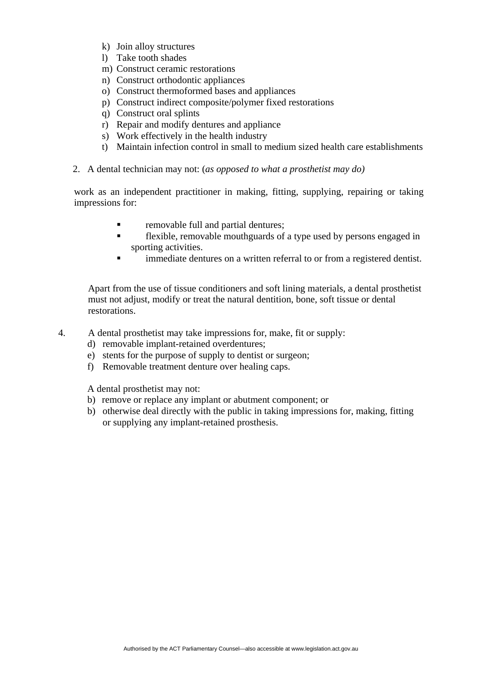- k) Join alloy structures
- l) Take tooth shades
- m) Construct ceramic restorations
- n) Construct orthodontic appliances
- o) Construct thermoformed bases and appliances
- p) Construct indirect composite/polymer fixed restorations
- q) Construct oral splints
- r) Repair and modify dentures and appliance
- s) Work effectively in the health industry
- t) Maintain infection control in small to medium sized health care establishments
- 2. A dental technician may not: (*as opposed to what a prosthetist may do)*

work as an independent practitioner in making, fitting, supplying, repairing or taking impressions for:

- **removable full and partial dentures;**
- flexible, removable mouthguards of a type used by persons engaged in sporting activities.
- **Inmediate dentures on a written referral to or from a registered dentist.**

 Apart from the use of tissue conditioners and soft lining materials, a dental prosthetist must not adjust, modify or treat the natural dentition, bone, soft tissue or dental restorations.

- 4. A dental prosthetist may take impressions for, make, fit or supply:
	- d) removable implant-retained overdentures;
	- e) stents for the purpose of supply to dentist or surgeon;
	- f) Removable treatment denture over healing caps.

A dental prosthetist may not:

- b) remove or replace any implant or abutment component; or
- b) otherwise deal directly with the public in taking impressions for, making, fitting or supplying any implant-retained prosthesis.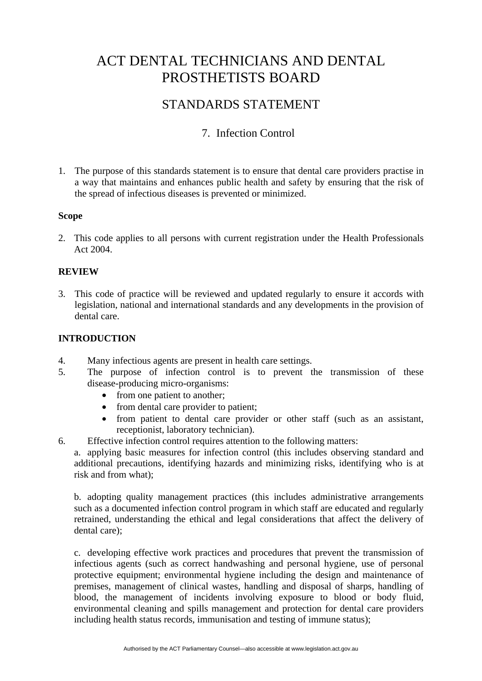# STANDARDS STATEMENT

# 7. Infection Control

1. The purpose of this standards statement is to ensure that dental care providers practise in a way that maintains and enhances public health and safety by ensuring that the risk of the spread of infectious diseases is prevented or minimized.

## **Scope**

2. This code applies to all persons with current registration under the Health Professionals Act 2004.

#### **REVIEW**

3. This code of practice will be reviewed and updated regularly to ensure it accords with legislation, national and international standards and any developments in the provision of dental care.

## **INTRODUCTION**

- 4. Many infectious agents are present in health care settings.
- 5. The purpose of infection control is to prevent the transmission of these disease-producing micro-organisms:
	- from one patient to another;
	- from dental care provider to patient;
	- from patient to dental care provider or other staff (such as an assistant, receptionist, laboratory technician).
- 6. Effective infection control requires attention to the following matters:

a. applying basic measures for infection control (this includes observing standard and additional precautions, identifying hazards and minimizing risks, identifying who is at risk and from what);

b. adopting quality management practices (this includes administrative arrangements such as a documented infection control program in which staff are educated and regularly retrained, understanding the ethical and legal considerations that affect the delivery of dental care);

c. developing effective work practices and procedures that prevent the transmission of infectious agents (such as correct handwashing and personal hygiene, use of personal protective equipment; environmental hygiene including the design and maintenance of premises, management of clinical wastes, handling and disposal of sharps, handling of blood, the management of incidents involving exposure to blood or body fluid, environmental cleaning and spills management and protection for dental care providers including health status records, immunisation and testing of immune status);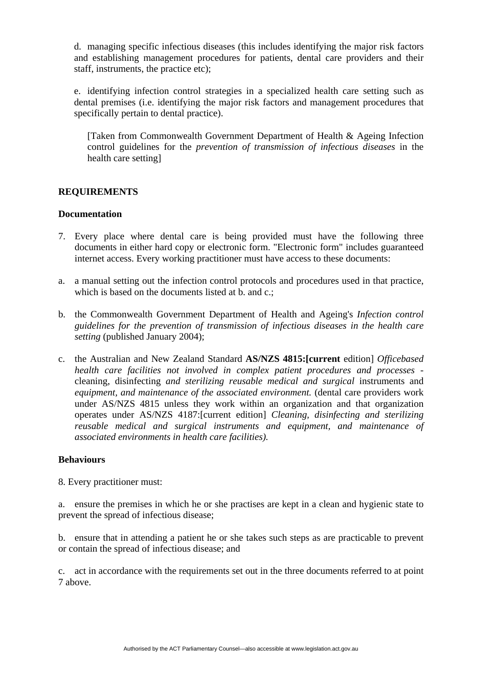d. managing specific infectious diseases (this includes identifying the major risk factors and establishing management procedures for patients, dental care providers and their staff, instruments, the practice etc);

e. identifying infection control strategies in a specialized health care setting such as dental premises (i.e. identifying the major risk factors and management procedures that specifically pertain to dental practice).

[Taken from Commonwealth Government Department of Health & Ageing Infection control guidelines for the *prevention of transmission of infectious diseases* in the health care setting]

## **REQUIREMENTS**

#### **Documentation**

- 7. Every place where dental care is being provided must have the following three documents in either hard copy or electronic form. "Electronic form" includes guaranteed internet access. Every working practitioner must have access to these documents:
- a. a manual setting out the infection control protocols and procedures used in that practice, which is based on the documents listed at b. and c.;
- b. the Commonwealth Government Department of Health and Ageing's *Infection control guidelines for the prevention of transmission of infectious diseases in the health care setting* (published January 2004);
- c. the Australian and New Zealand Standard **AS/NZS 4815:[current** edition] *Officebased health care facilities not involved in complex patient procedures and processes*  cleaning, disinfecting *and sterilizing reusable medical and surgical* instruments and *equipment, and maintenance of the associated environment.* (dental care providers work under AS/NZS 4815 unless they work within an organization and that organization operates under AS/NZS 4187:[current edition] *Cleaning, disinfecting and sterilizing reusable medical and surgical instruments and equipment, and maintenance of associated environments in health care facilities).*

#### **Behaviours**

8. Every practitioner must:

a. ensure the premises in which he or she practises are kept in a clean and hygienic state to prevent the spread of infectious disease;

b. ensure that in attending a patient he or she takes such steps as are practicable to prevent or contain the spread of infectious disease; and

c. act in accordance with the requirements set out in the three documents referred to at point 7 above.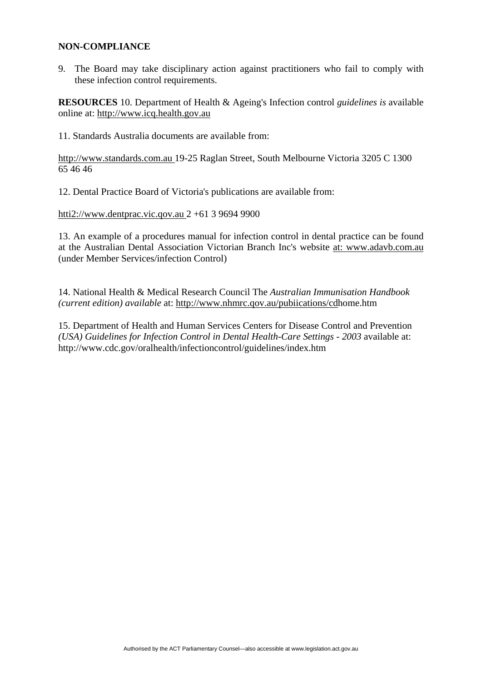#### **NON-COMPLIANCE**

9. The Board may take disciplinary action against practitioners who fail to comply with these infection control requirements.

**RESOURCES** 10. Department of Health & Ageing's Infection control *guidelines is* available online at: http://www.icq.health.gov.au

11. Standards Australia documents are available from:

http://www.standards.com.au 19-25 Raglan Street, South Melbourne Victoria 3205 C 1300 65 46 46

12. Dental Practice Board of Victoria's publications are available from:

htti2://www.dentprac.vic.qov.au 2 +61 3 9694 9900

13. An example of a procedures manual for infection control in dental practice can be found at the Australian Dental Association Victorian Branch Inc's website at: www.adavb.com.au (under Member Services/infection Control)

14. National Health & Medical Research Council The *Australian Immunisation Handbook (current edition) available* at: http://www.nhmrc.qov.au/pubiications/cdhome.htm

15. Department of Health and Human Services Centers for Disease Control and Prevention *(USA) Guidelines for Infection Control in Dental Health-Care Settings - 2003* available at: http://www.cdc.gov/oralhealth/infectioncontrol/guidelines/index.htm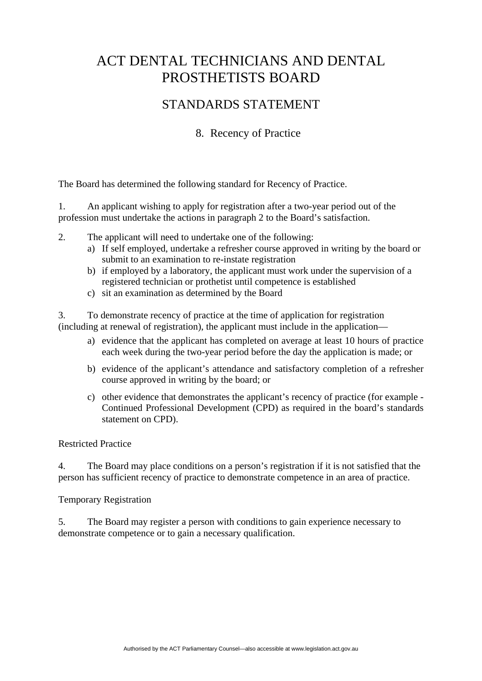# STANDARDS STATEMENT

# 8. Recency of Practice

The Board has determined the following standard for Recency of Practice.

1. An applicant wishing to apply for registration after a two-year period out of the profession must undertake the actions in paragraph 2 to the Board's satisfaction.

- 2. The applicant will need to undertake one of the following:
	- a) If self employed, undertake a refresher course approved in writing by the board or submit to an examination to re-instate registration
	- b) if employed by a laboratory, the applicant must work under the supervision of a registered technician or prothetist until competence is established
	- c) sit an examination as determined by the Board

3. To demonstrate recency of practice at the time of application for registration (including at renewal of registration), the applicant must include in the application—

- a) evidence that the applicant has completed on average at least 10 hours of practice each week during the two-year period before the day the application is made; or
- b) evidence of the applicant's attendance and satisfactory completion of a refresher course approved in writing by the board; or
- c) other evidence that demonstrates the applicant's recency of practice (for example Continued Professional Development (CPD) as required in the board's standards statement on CPD).

#### Restricted Practice

4. The Board may place conditions on a person's registration if it is not satisfied that the person has sufficient recency of practice to demonstrate competence in an area of practice.

## Temporary Registration

5. The Board may register a person with conditions to gain experience necessary to demonstrate competence or to gain a necessary qualification.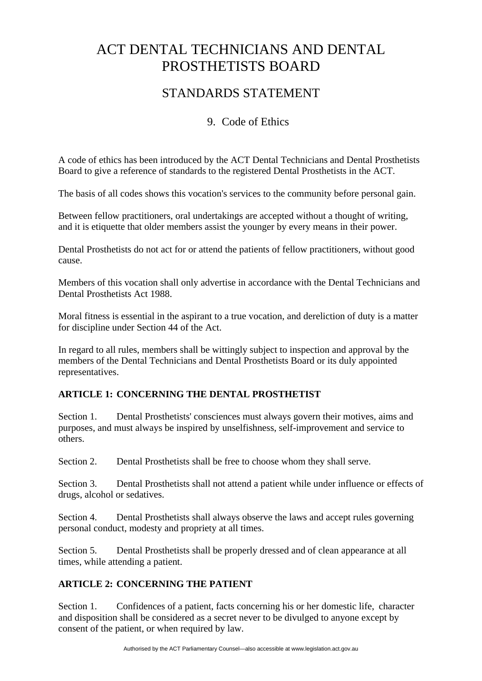# STANDARDS STATEMENT

# 9. Code of Ethics

A code of ethics has been introduced by the ACT Dental Technicians and Dental Prosthetists Board to give a reference of standards to the registered Dental Prosthetists in the ACT.

The basis of all codes shows this vocation's services to the community before personal gain.

Between fellow practitioners, oral undertakings are accepted without a thought of writing, and it is etiquette that older members assist the younger by every means in their power.

Dental Prosthetists do not act for or attend the patients of fellow practitioners, without good cause.

Members of this vocation shall only advertise in accordance with the Dental Technicians and Dental Prosthetists Act 1988.

Moral fitness is essential in the aspirant to a true vocation, and dereliction of duty is a matter for discipline under Section 44 of the Act.

In regard to all rules, members shall be wittingly subject to inspection and approval by the members of the Dental Technicians and Dental Prosthetists Board or its duly appointed representatives.

# **ARTICLE 1: CONCERNING THE DENTAL PROSTHETIST**

Section 1. Dental Prosthetists' consciences must always govern their motives, aims and purposes, and must always be inspired by unselfishness, self-improvement and service to others.

Section 2. Dental Prosthetists shall be free to choose whom they shall serve.

Section 3. Dental Prosthetists shall not attend a patient while under influence or effects of drugs, alcohol or sedatives.

Section 4. Dental Prosthetists shall always observe the laws and accept rules governing personal conduct, modesty and propriety at all times.

Section 5. Dental Prosthetists shall be properly dressed and of clean appearance at all times, while attending a patient.

# **ARTICLE 2: CONCERNING THE PATIENT**

Section 1. Confidences of a patient, facts concerning his or her domestic life, character and disposition shall be considered as a secret never to be divulged to anyone except by consent of the patient, or when required by law.